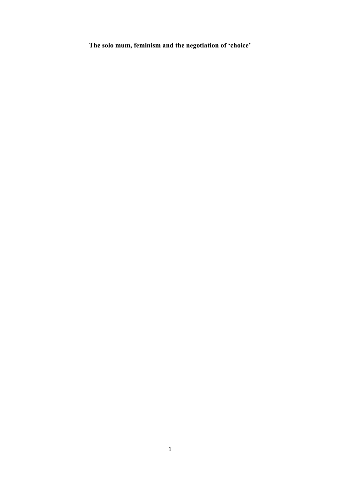**The solo mum, feminism and the negotiation of 'choice'**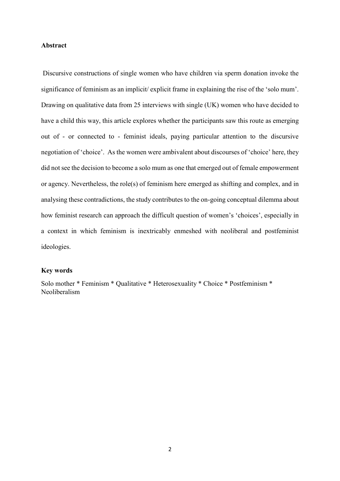# **Abstract**

Discursive constructions of single women who have children via sperm donation invoke the significance of feminism as an implicit/ explicit frame in explaining the rise of the 'solo mum'. Drawing on qualitative data from 25 interviews with single (UK) women who have decided to have a child this way, this article explores whether the participants saw this route as emerging out of - or connected to - feminist ideals, paying particular attention to the discursive negotiation of 'choice'. As the women were ambivalent about discourses of 'choice' here, they did not see the decision to become a solo mum as one that emerged out of female empowerment or agency. Nevertheless, the role(s) of feminism here emerged as shifting and complex, and in analysing these contradictions, the study contributes to the on-going conceptual dilemma about how feminist research can approach the difficult question of women's 'choices', especially in a context in which feminism is inextricably enmeshed with neoliberal and postfeminist ideologies.

# **Key words**

Solo mother \* Feminism \* Qualitative \* Heterosexuality \* Choice \* Postfeminism \* Neoliberalism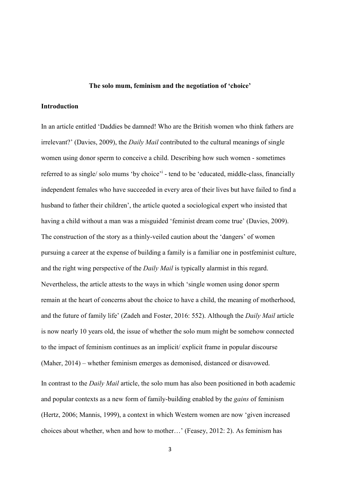#### **The solo mum, feminism and the negotiation of 'choice'**

# **Introduction**

In an article entitled 'Daddies be damned! Who are the British women who think fathers are irrelevant?' (Davies, 2009), the *Daily Mail* contributed to the cultural meanings of single women using donor sperm to conceive a child. Describing how such women - sometimes referred to as single/ solo mums 'by choice'<sup>i</sup> - tend to be 'educated, middle-class, financially independent females who have succeeded in every area of their lives but have failed to find a husband to father their children', the article quoted a sociological expert who insisted that having a child without a man was a misguided 'feminist dream come true' (Davies, 2009). The construction of the story as a thinly-veiled caution about the 'dangers' of women pursuing a career at the expense of building a family is a familiar one in postfeminist culture, and the right wing perspective of the *Daily Mail* is typically alarmist in this regard. Nevertheless, the article attests to the ways in which 'single women using donor sperm remain at the heart of concerns about the choice to have a child, the meaning of motherhood, and the future of family life' (Zadeh and Foster, 2016: 552). Although the *Daily Mail* article is now nearly 10 years old, the issue of whether the solo mum might be somehow connected to the impact of feminism continues as an implicit/ explicit frame in popular discourse (Maher, 2014) – whether feminism emerges as demonised, distanced or disavowed.

In contrast to the *Daily Mail* article, the solo mum has also been positioned in both academic and popular contexts as a new form of family-building enabled by the *gains* of feminism (Hertz, 2006; Mannis, 1999), a context in which Western women are now 'given increased choices about whether, when and how to mother…' (Feasey, 2012: 2). As feminism has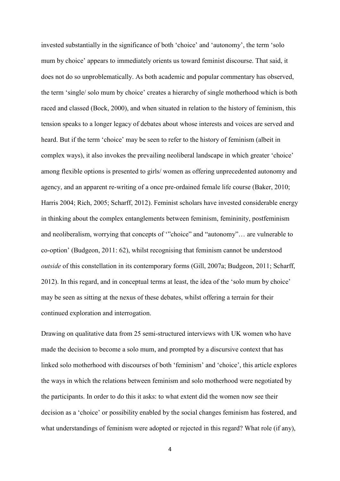invested substantially in the significance of both 'choice' and 'autonomy', the term 'solo mum by choice' appears to immediately orients us toward feminist discourse. That said, it does not do so unproblematically. As both academic and popular commentary has observed, the term 'single/ solo mum by choice' creates a hierarchy of single motherhood which is both raced and classed (Bock, 2000), and when situated in relation to the history of feminism, this tension speaks to a longer legacy of debates about whose interests and voices are served and heard. But if the term 'choice' may be seen to refer to the history of feminism (albeit in complex ways), it also invokes the prevailing neoliberal landscape in which greater 'choice' among flexible options is presented to girls/ women as offering unprecedented autonomy and agency, and an apparent re-writing of a once pre-ordained female life course (Baker, 2010; Harris 2004; Rich, 2005; Scharff, 2012). Feminist scholars have invested considerable energy in thinking about the complex entanglements between feminism, femininity, postfeminism and neoliberalism, worrying that concepts of '"choice" and "autonomy"… are vulnerable to co-option' (Budgeon, 2011: 62), whilst recognising that feminism cannot be understood *outside* of this constellation in its contemporary forms (Gill, 2007a; Budgeon, 2011; Scharff, 2012). In this regard, and in conceptual terms at least, the idea of the 'solo mum by choice' may be seen as sitting at the nexus of these debates, whilst offering a terrain for their continued exploration and interrogation.

Drawing on qualitative data from 25 semi-structured interviews with UK women who have made the decision to become a solo mum, and prompted by a discursive context that has linked solo motherhood with discourses of both 'feminism' and 'choice', this article explores the ways in which the relations between feminism and solo motherhood were negotiated by the participants. In order to do this it asks: to what extent did the women now see their decision as a 'choice' or possibility enabled by the social changes feminism has fostered, and what understandings of feminism were adopted or rejected in this regard? What role (if any),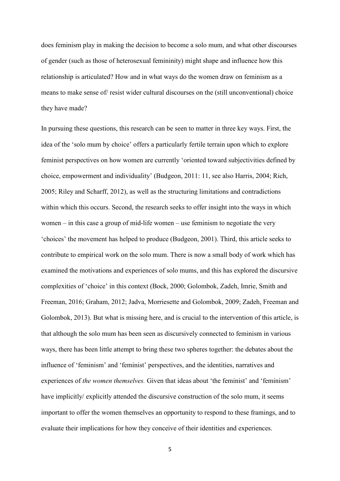does feminism play in making the decision to become a solo mum, and what other discourses of gender (such as those of heterosexual femininity) might shape and influence how this relationship is articulated? How and in what ways do the women draw on feminism as a means to make sense of/ resist wider cultural discourses on the (still unconventional) choice they have made?

In pursuing these questions, this research can be seen to matter in three key ways. First, the idea of the 'solo mum by choice' offers a particularly fertile terrain upon which to explore feminist perspectives on how women are currently 'oriented toward subjectivities defined by choice, empowerment and individuality' (Budgeon, 2011: 11, see also Harris, 2004; Rich, 2005; Riley and Scharff, 2012), as well as the structuring limitations and contradictions within which this occurs. Second, the research seeks to offer insight into the ways in which women – in this case a group of mid-life women – use feminism to negotiate the very 'choices' the movement has helped to produce (Budgeon, 2001). Third, this article seeks to contribute to empirical work on the solo mum. There is now a small body of work which has examined the motivations and experiences of solo mums, and this has explored the discursive complexities of 'choice' in this context (Bock, 2000; Golombok, Zadeh, Imrie, Smith and Freeman, 2016; Graham, 2012; Jadva, Morriesette and Golombok, 2009; Zadeh, Freeman and Golombok, 2013). But what is missing here, and is crucial to the intervention of this article, is that although the solo mum has been seen as discursively connected to feminism in various ways, there has been little attempt to bring these two spheres together: the debates about the influence of 'feminism' and 'feminist' perspectives, and the identities, narratives and experiences of *the women themselves.* Given that ideas about 'the feminist' and 'feminism' have implicitly/ explicitly attended the discursive construction of the solo mum, it seems important to offer the women themselves an opportunity to respond to these framings, and to evaluate their implications for how they conceive of their identities and experiences.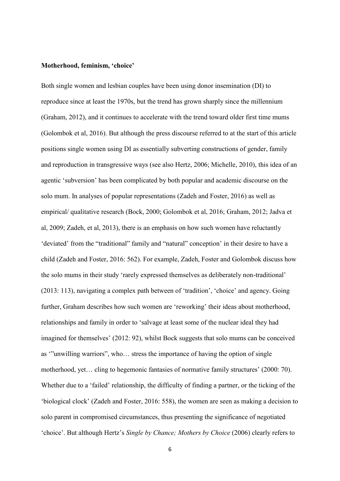#### **Motherhood, feminism, 'choice'**

Both single women and lesbian couples have been using donor insemination (DI) to reproduce since at least the 1970s, but the trend has grown sharply since the millennium (Graham, 2012), and it continues to accelerate with the trend toward older first time mums (Golombok et al, 2016). But although the press discourse referred to at the start of this article positions single women using DI as essentially subverting constructions of gender, family and reproduction in transgressive ways (see also Hertz, 2006; Michelle, 2010), this idea of an agentic 'subversion' has been complicated by both popular and academic discourse on the solo mum. In analyses of popular representations (Zadeh and Foster, 2016) as well as empirical/ qualitative research (Bock, 2000; Golombok et al, 2016; Graham, 2012; Jadva et al, 2009; Zadeh, et al, 2013), there is an emphasis on how such women have reluctantly 'deviated' from the "traditional" family and "natural" conception' in their desire to have a child (Zadeh and Foster, 2016: 562). For example, Zadeh, Foster and Golombok discuss how the solo mums in their study 'rarely expressed themselves as deliberately non-traditional' (2013: 113), navigating a complex path between of 'tradition', 'choice' and agency. Going further, Graham describes how such women are 'reworking' their ideas about motherhood, relationships and family in order to 'salvage at least some of the nuclear ideal they had imagined for themselves' (2012: 92), whilst Bock suggests that solo mums can be conceived as '"unwilling warriors", who… stress the importance of having the option of single motherhood, yet… cling to hegemonic fantasies of normative family structures' (2000: 70). Whether due to a 'failed' relationship, the difficulty of finding a partner, or the ticking of the 'biological clock' (Zadeh and Foster, 2016: 558), the women are seen as making a decision to solo parent in compromised circumstances, thus presenting the significance of negotiated 'choice'. But although Hertz's *Single by Chance; Mothers by Choice* (2006) clearly refers to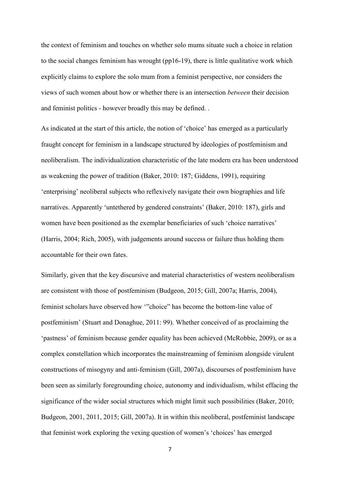the context of feminism and touches on whether solo mums situate such a choice in relation to the social changes feminism has wrought (pp16-19), there is little qualitative work which explicitly claims to explore the solo mum from a feminist perspective, nor considers the views of such women about how or whether there is an intersection *between* their decision and feminist politics - however broadly this may be defined. .

As indicated at the start of this article, the notion of 'choice' has emerged as a particularly fraught concept for feminism in a landscape structured by ideologies of postfeminism and neoliberalism. The individualization characteristic of the late modern era has been understood as weakening the power of tradition (Baker, 2010: 187; Giddens, 1991), requiring 'enterprising' neoliberal subjects who reflexively navigate their own biographies and life narratives. Apparently 'untethered by gendered constraints' (Baker, 2010: 187), girls and women have been positioned as the exemplar beneficiaries of such 'choice narratives' (Harris, 2004; Rich, 2005), with judgements around success or failure thus holding them accountable for their own fates.

Similarly, given that the key discursive and material characteristics of western neoliberalism are consistent with those of postfeminism (Budgeon, 2015; Gill, 2007a; Harris, 2004), feminist scholars have observed how '"choice" has become the bottom-line value of postfeminism' (Stuart and Donaghue, 2011: 99). Whether conceived of as proclaiming the 'pastness' of feminism because gender equality has been achieved (McRobbie, 2009), or as a complex constellation which incorporates the mainstreaming of feminism alongside virulent constructions of misogyny and anti-feminism (Gill, 2007a), discourses of postfeminism have been seen as similarly foregrounding choice, autonomy and individualism, whilst effacing the significance of the wider social structures which might limit such possibilities (Baker, 2010; Budgeon, 2001, 2011, 2015; Gill, 2007a). It in within this neoliberal, postfeminist landscape that feminist work exploring the vexing question of women's 'choices' has emerged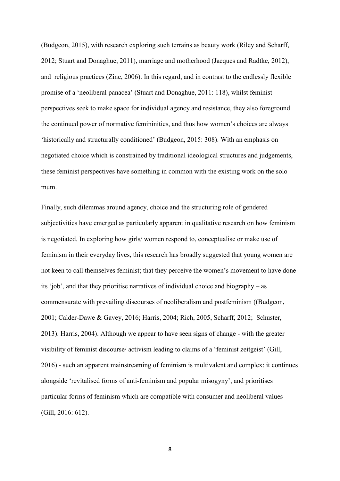(Budgeon, 2015), with research exploring such terrains as beauty work (Riley and Scharff, 2012; Stuart and Donaghue, 2011), marriage and motherhood (Jacques and Radtke, 2012), and religious practices (Zine, 2006). In this regard, and in contrast to the endlessly flexible promise of a 'neoliberal panacea' (Stuart and Donaghue, 2011: 118), whilst feminist perspectives seek to make space for individual agency and resistance, they also foreground the continued power of normative femininities, and thus how women's choices are always 'historically and structurally conditioned' (Budgeon, 2015: 308). With an emphasis on negotiated choice which is constrained by traditional ideological structures and judgements, these feminist perspectives have something in common with the existing work on the solo mum.

Finally, such dilemmas around agency, choice and the structuring role of gendered subjectivities have emerged as particularly apparent in qualitative research on how feminism is negotiated. In exploring how girls/ women respond to, conceptualise or make use of feminism in their everyday lives, this research has broadly suggested that young women are not keen to call themselves feminist; that they perceive the women's movement to have done its 'job', and that they prioritise narratives of individual choice and biography – as commensurate with prevailing discourses of neoliberalism and postfeminism ((Budgeon, 2001; Calder-Dawe & Gavey, 2016; Harris, 2004; Rich, 2005, Scharff, 2012; Schuster, 2013). Harris, 2004). Although we appear to have seen signs of change - with the greater visibility of feminist discourse/ activism leading to claims of a 'feminist zeitgeist' (Gill, 2016) - such an apparent mainstreaming of feminism is multivalent and complex: it continues alongside 'revitalised forms of anti-feminism and popular misogyny', and prioritises particular forms of feminism which are compatible with consumer and neoliberal values (Gill, 2016: 612).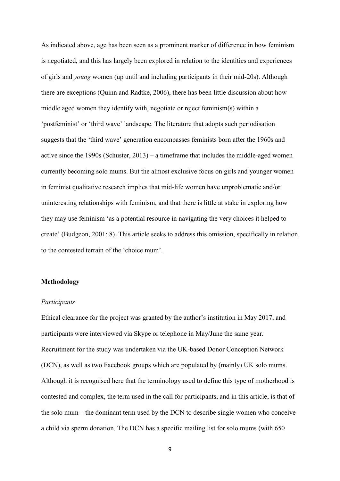As indicated above, age has been seen as a prominent marker of difference in how feminism is negotiated, and this has largely been explored in relation to the identities and experiences of girls and *young* women (up until and including participants in their mid-20s). Although there are exceptions (Quinn and Radtke, 2006), there has been little discussion about how middle aged women they identify with, negotiate or reject feminism(s) within a 'postfeminist' or 'third wave' landscape. The literature that adopts such periodisation suggests that the 'third wave' generation encompasses feminists born after the 1960s and active since the 1990s (Schuster, 2013) – a timeframe that includes the middle-aged women currently becoming solo mums. But the almost exclusive focus on girls and younger women in feminist qualitative research implies that mid-life women have unproblematic and/or uninteresting relationships with feminism, and that there is little at stake in exploring how they may use feminism 'as a potential resource in navigating the very choices it helped to create' (Budgeon, 2001: 8). This article seeks to address this omission, specifically in relation to the contested terrain of the 'choice mum'.

# **Methodology**

#### *Participants*

Ethical clearance for the project was granted by the author's institution in May 2017, and participants were interviewed via Skype or telephone in May/June the same year. Recruitment for the study was undertaken via the UK-based Donor Conception Network (DCN), as well as two Facebook groups which are populated by (mainly) UK solo mums. Although it is recognised here that the terminology used to define this type of motherhood is contested and complex, the term used in the call for participants, and in this article, is that of the solo mum – the dominant term used by the DCN to describe single women who conceive a child via sperm donation. The DCN has a specific mailing list for solo mums (with 650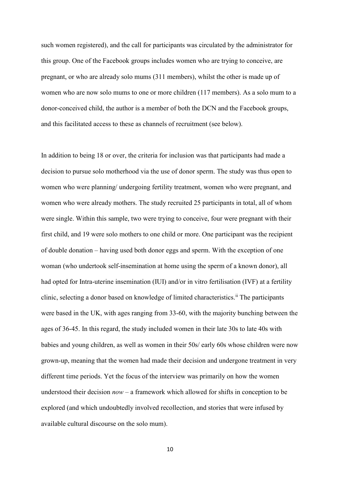such women registered), and the call for participants was circulated by the administrator for this group. One of the Facebook groups includes women who are trying to conceive, are pregnant, or who are already solo mums (311 members), whilst the other is made up of women who are now solo mums to one or more children (117 members). As a solo mum to a donor-conceived child, the author is a member of both the DCN and the Facebook groups, and this facilitated access to these as channels of recruitment (see below).

In addition to being 18 or over, the criteria for inclusion was that participants had made a decision to pursue solo motherhood via the use of donor sperm. The study was thus open to women who were planning/ undergoing fertility treatment, women who were pregnant, and women who were already mothers. The study recruited 25 participants in total, all of whom were single. Within this sample, two were trying to conceive, four were pregnant with their first child, and 19 were solo mothers to one child or more. One participant was the recipient of double donation – having used both donor eggs and sperm. With the exception of one woman (who undertook self-insemination at home using the sperm of a known donor), all had opted for Intra-uterine insemination (IUI) and/or in vitro fertilisation (IVF) at a fertility clinic, selecting a donor based on knowledge of limited characteristics.<sup>ii</sup> The participants were based in the UK, with ages ranging from 33-60, with the majority bunching between the ages of 36-45. In this regard, the study included women in their late 30s to late 40s with babies and young children, as well as women in their 50s/ early 60s whose children were now grown-up, meaning that the women had made their decision and undergone treatment in very different time periods. Yet the focus of the interview was primarily on how the women understood their decision *now* – a framework which allowed for shifts in conception to be explored (and which undoubtedly involved recollection, and stories that were infused by available cultural discourse on the solo mum).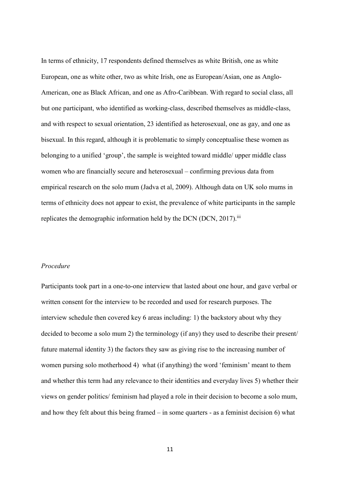In terms of ethnicity, 17 respondents defined themselves as white British, one as white European, one as white other, two as white Irish, one as European/Asian, one as Anglo-American, one as Black African, and one as Afro-Caribbean. With regard to social class, all but one participant, who identified as working-class, described themselves as middle-class, and with respect to sexual orientation, 23 identified as heterosexual, one as gay, and one as bisexual. In this regard, although it is problematic to simply conceptualise these women as belonging to a unified 'group', the sample is weighted toward middle/ upper middle class women who are financially secure and heterosexual – confirming previous data from empirical research on the solo mum (Jadva et al, 2009). Although data on UK solo mums in terms of ethnicity does not appear to exist, the prevalence of white participants in the sample replicates the demographic information held by the DCN (DCN, 2017).<sup>iii</sup>

# *Procedure*

Participants took part in a one-to-one interview that lasted about one hour, and gave verbal or written consent for the interview to be recorded and used for research purposes. The interview schedule then covered key 6 areas including: 1) the backstory about why they decided to become a solo mum 2) the terminology (if any) they used to describe their present/ future maternal identity 3) the factors they saw as giving rise to the increasing number of women pursing solo motherhood 4) what (if anything) the word 'feminism' meant to them and whether this term had any relevance to their identities and everyday lives 5) whether their views on gender politics/ feminism had played a role in their decision to become a solo mum, and how they felt about this being framed – in some quarters - as a feminist decision 6) what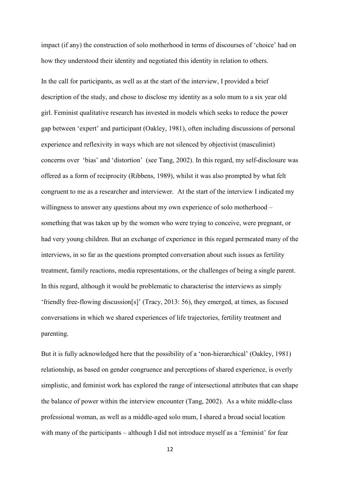impact (if any) the construction of solo motherhood in terms of discourses of 'choice' had on how they understood their identity and negotiated this identity in relation to others.

In the call for participants, as well as at the start of the interview, I provided a brief description of the study, and chose to disclose my identity as a solo mum to a six year old girl. Feminist qualitative research has invested in models which seeks to reduce the power gap between 'expert' and participant (Oakley, 1981), often including discussions of personal experience and reflexivity in ways which are not silenced by objectivist (masculinist) concerns over 'bias' and 'distortion' (see Tang, 2002). In this regard, my self-disclosure was offered as a form of reciprocity (Ribbens, 1989), whilst it was also prompted by what felt congruent to me as a researcher and interviewer. At the start of the interview I indicated my willingness to answer any questions about my own experience of solo motherhood – something that was taken up by the women who were trying to conceive, were pregnant, or had very young children. But an exchange of experience in this regard permeated many of the interviews, in so far as the questions prompted conversation about such issues as fertility treatment, family reactions, media representations, or the challenges of being a single parent. In this regard, although it would be problematic to characterise the interviews as simply 'friendly free-flowing discussion[s]' (Tracy, 2013: 56), they emerged, at times, as focused conversations in which we shared experiences of life trajectories, fertility treatment and parenting.

But it is fully acknowledged here that the possibility of a 'non-hierarchical' (Oakley, 1981) relationship, as based on gender congruence and perceptions of shared experience, is overly simplistic, and feminist work has explored the range of intersectional attributes that can shape the balance of power within the interview encounter (Tang, 2002). As a white middle-class professional woman, as well as a middle-aged solo mum, I shared a broad social location with many of the participants – although I did not introduce myself as a 'feminist' for fear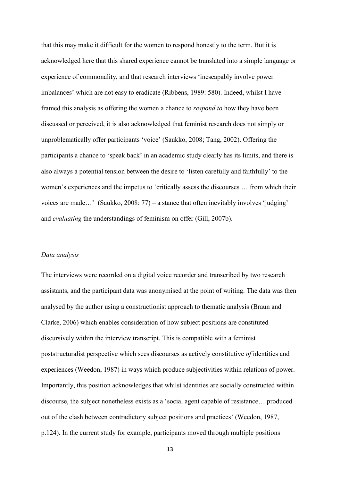that this may make it difficult for the women to respond honestly to the term. But it is acknowledged here that this shared experience cannot be translated into a simple language or experience of commonality, and that research interviews 'inescapably involve power imbalances' which are not easy to eradicate (Ribbens, 1989: 580). Indeed, whilst I have framed this analysis as offering the women a chance to *respond to* how they have been discussed or perceived, it is also acknowledged that feminist research does not simply or unproblematically offer participants 'voice' (Saukko, 2008; Tang, 2002). Offering the participants a chance to 'speak back' in an academic study clearly has its limits, and there is also always a potential tension between the desire to 'listen carefully and faithfully' to the women's experiences and the impetus to 'critically assess the discourses … from which their voices are made...' (Saukko, 2008: 77) – a stance that often inevitably involves 'judging' and *evaluating* the understandings of feminism on offer (Gill, 2007b).

# *Data analysis*

The interviews were recorded on a digital voice recorder and transcribed by two research assistants, and the participant data was anonymised at the point of writing. The data was then analysed by the author using a constructionist approach to thematic analysis (Braun and Clarke, 2006) which enables consideration of how subject positions are constituted discursively within the interview transcript. This is compatible with a feminist poststructuralist perspective which sees discourses as actively constitutive *of* identities and experiences (Weedon, 1987) in ways which produce subjectivities within relations of power. Importantly, this position acknowledges that whilst identities are socially constructed within discourse, the subject nonetheless exists as a 'social agent capable of resistance… produced out of the clash between contradictory subject positions and practices' (Weedon, 1987, p.124). In the current study for example, participants moved through multiple positions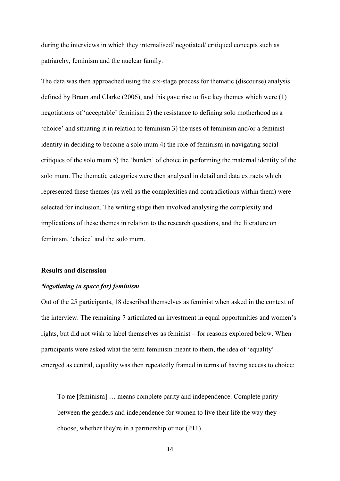during the interviews in which they internalised/ negotiated/ critiqued concepts such as patriarchy, feminism and the nuclear family.

The data was then approached using the six-stage process for thematic (discourse) analysis defined by Braun and Clarke (2006), and this gave rise to five key themes which were (1) negotiations of 'acceptable' feminism 2) the resistance to defining solo motherhood as a 'choice' and situating it in relation to feminism 3) the uses of feminism and/or a feminist identity in deciding to become a solo mum 4) the role of feminism in navigating social critiques of the solo mum 5) the 'burden' of choice in performing the maternal identity of the solo mum. The thematic categories were then analysed in detail and data extracts which represented these themes (as well as the complexities and contradictions within them) were selected for inclusion. The writing stage then involved analysing the complexity and implications of these themes in relation to the research questions, and the literature on feminism, 'choice' and the solo mum.

#### **Results and discussion**

# *Negotiating (a space for) feminism*

Out of the 25 participants, 18 described themselves as feminist when asked in the context of the interview. The remaining 7 articulated an investment in equal opportunities and women's rights, but did not wish to label themselves as feminist – for reasons explored below. When participants were asked what the term feminism meant to them, the idea of 'equality' emerged as central, equality was then repeatedly framed in terms of having access to choice:

To me [feminism] … means complete parity and independence. Complete parity between the genders and independence for women to live their life the way they choose, whether they're in a partnership or not (P11).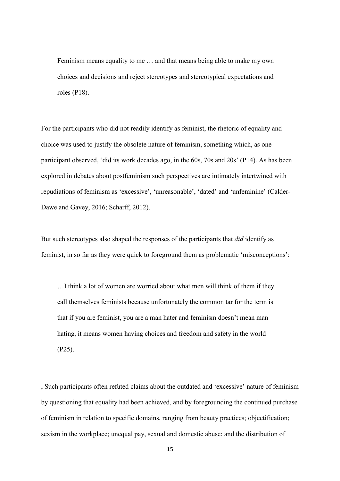Feminism means equality to me … and that means being able to make my own choices and decisions and reject stereotypes and stereotypical expectations and roles (P18).

For the participants who did not readily identify as feminist, the rhetoric of equality and choice was used to justify the obsolete nature of feminism, something which, as one participant observed, 'did its work decades ago, in the 60s, 70s and 20s' (P14). As has been explored in debates about postfeminism such perspectives are intimately intertwined with repudiations of feminism as 'excessive', 'unreasonable', 'dated' and 'unfeminine' (Calder-Dawe and Gavey, 2016; Scharff, 2012).

But such stereotypes also shaped the responses of the participants that *did* identify as feminist, in so far as they were quick to foreground them as problematic 'misconceptions':

…I think a lot of women are worried about what men will think of them if they call themselves feminists because unfortunately the common tar for the term is that if you are feminist, you are a man hater and feminism doesn't mean man hating, it means women having choices and freedom and safety in the world (P25).

, Such participants often refuted claims about the outdated and 'excessive' nature of feminism by questioning that equality had been achieved, and by foregrounding the continued purchase of feminism in relation to specific domains, ranging from beauty practices; objectification; sexism in the workplace; unequal pay, sexual and domestic abuse; and the distribution of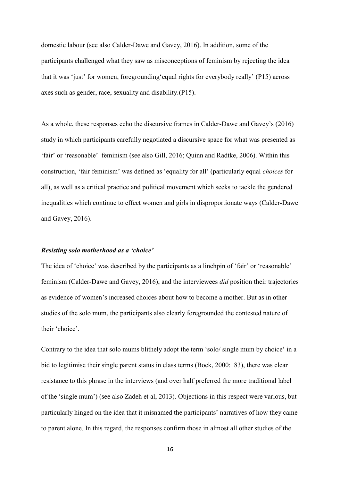domestic labour (see also Calder-Dawe and Gavey, 2016). In addition, some of the participants challenged what they saw as misconceptions of feminism by rejecting the idea that it was 'just' for women, foregrounding'equal rights for everybody really' (P15) across axes such as gender, race, sexuality and disability.(P15).

As a whole, these responses echo the discursive frames in Calder-Dawe and Gavey's (2016) study in which participants carefully negotiated a discursive space for what was presented as 'fair' or 'reasonable' feminism (see also Gill, 2016; Quinn and Radtke, 2006). Within this construction, 'fair feminism' was defined as 'equality for all' (particularly equal *choices* for all), as well as a critical practice and political movement which seeks to tackle the gendered inequalities which continue to effect women and girls in disproportionate ways (Calder-Dawe and Gavey, 2016).

#### *Resisting solo motherhood as a 'choice'*

The idea of 'choice' was described by the participants as a linchpin of 'fair' or 'reasonable' feminism (Calder-Dawe and Gavey, 2016), and the interviewees *did* position their trajectories as evidence of women's increased choices about how to become a mother. But as in other studies of the solo mum, the participants also clearly foregrounded the contested nature of their 'choice'.

Contrary to the idea that solo mums blithely adopt the term 'solo/ single mum by choice' in a bid to legitimise their single parent status in class terms (Bock, 2000: 83), there was clear resistance to this phrase in the interviews (and over half preferred the more traditional label of the 'single mum') (see also Zadeh et al, 2013). Objections in this respect were various, but particularly hinged on the idea that it misnamed the participants' narratives of how they came to parent alone. In this regard, the responses confirm those in almost all other studies of the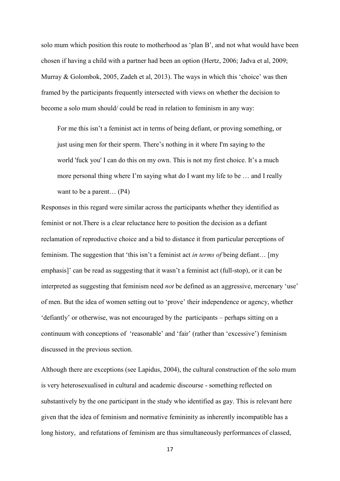solo mum which position this route to motherhood as 'plan B', and not what would have been chosen if having a child with a partner had been an option (Hertz, 2006; Jadva et al, 2009; Murray & Golombok, 2005, Zadeh et al, 2013). The ways in which this 'choice' was then framed by the participants frequently intersected with views on whether the decision to become a solo mum should/ could be read in relation to feminism in any way:

For me this isn't a feminist act in terms of being defiant, or proving something, or just using men for their sperm. There's nothing in it where I'm saying to the world 'fuck you' I can do this on my own. This is not my first choice. It's a much more personal thing where I'm saying what do I want my life to be … and I really want to be a parent… (P4)

Responses in this regard were similar across the participants whether they identified as feminist or not.There is a clear reluctance here to position the decision as a defiant reclamation of reproductive choice and a bid to distance it from particular perceptions of feminism. The suggestion that 'this isn't a feminist act *in terms of* being defiant… [my emphasis]' can be read as suggesting that it wasn't a feminist act (full-stop), or it can be interpreted as suggesting that feminism need *not* be defined as an aggressive, mercenary 'use' of men. But the idea of women setting out to 'prove' their independence or agency, whether 'defiantly' or otherwise, was not encouraged by the participants – perhaps sitting on a continuum with conceptions of 'reasonable' and 'fair' (rather than 'excessive') feminism discussed in the previous section.

Although there are exceptions (see Lapidus, 2004), the cultural construction of the solo mum is very heterosexualised in cultural and academic discourse - something reflected on substantively by the one participant in the study who identified as gay. This is relevant here given that the idea of feminism and normative femininity as inherently incompatible has a long history, and refutations of feminism are thus simultaneously performances of classed,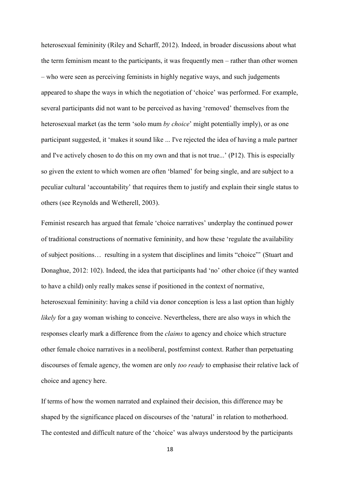heterosexual femininity (Riley and Scharff, 2012). Indeed, in broader discussions about what the term feminism meant to the participants, it was frequently men – rather than other women – who were seen as perceiving feminists in highly negative ways, and such judgements appeared to shape the ways in which the negotiation of 'choice' was performed. For example, several participants did not want to be perceived as having 'removed' themselves from the heterosexual market (as the term 'solo mum *by choice*' might potentially imply), or as one participant suggested, it 'makes it sound like ... I've rejected the idea of having a male partner and I've actively chosen to do this on my own and that is not true...' (P12). This is especially so given the extent to which women are often 'blamed' for being single, and are subject to a peculiar cultural 'accountability' that requires them to justify and explain their single status to others (see Reynolds and Wetherell, 2003).

Feminist research has argued that female 'choice narratives' underplay the continued power of traditional constructions of normative femininity, and how these 'regulate the availability of subject positions… resulting in a system that disciplines and limits "choice"' (Stuart and Donaghue, 2012: 102). Indeed, the idea that participants had 'no' other choice (if they wanted to have a child) only really makes sense if positioned in the context of normative, heterosexual femininity: having a child via donor conception is less a last option than highly *likely* for a gay woman wishing to conceive. Nevertheless, there are also ways in which the responses clearly mark a difference from the *claims* to agency and choice which structure other female choice narratives in a neoliberal, postfeminst context. Rather than perpetuating discourses of female agency, the women are only *too ready* to emphasise their relative lack of choice and agency here.

If terms of how the women narrated and explained their decision, this difference may be shaped by the significance placed on discourses of the 'natural' in relation to motherhood. The contested and difficult nature of the 'choice' was always understood by the participants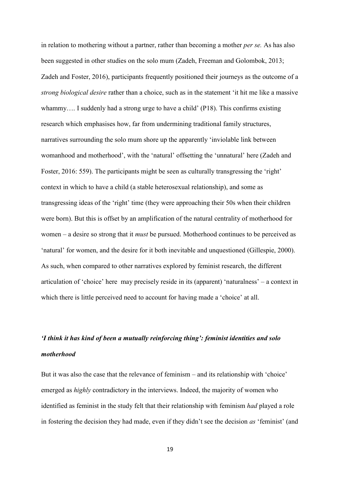in relation to mothering without a partner, rather than becoming a mother *per se.* As has also been suggested in other studies on the solo mum (Zadeh, Freeman and Golombok, 2013; Zadeh and Foster, 2016), participants frequently positioned their journeys as the outcome of a *strong biological desire* rather than a choice, such as in the statement 'it hit me like a massive whammy.... I suddenly had a strong urge to have a child' (P18). This confirms existing research which emphasises how, far from undermining traditional family structures, narratives surrounding the solo mum shore up the apparently 'inviolable link between womanhood and motherhood', with the 'natural' offsetting the 'unnatural' here (Zadeh and Foster, 2016: 559). The participants might be seen as culturally transgressing the 'right' context in which to have a child (a stable heterosexual relationship), and some as transgressing ideas of the 'right' time (they were approaching their 50s when their children were born). But this is offset by an amplification of the natural centrality of motherhood for women – a desire so strong that it *must* be pursued. Motherhood continues to be perceived as 'natural' for women, and the desire for it both inevitable and unquestioned (Gillespie, 2000). As such, when compared to other narratives explored by feminist research, the different articulation of 'choice' here may precisely reside in its (apparent) 'naturalness' – a context in which there is little perceived need to account for having made a 'choice' at all.

# *'I think it has kind of been a mutually reinforcing thing': feminist identities and solo motherhood*

But it was also the case that the relevance of feminism – and its relationship with 'choice' emerged as *highly* contradictory in the interviews. Indeed, the majority of women who identified as feminist in the study felt that their relationship with feminism *had* played a role in fostering the decision they had made, even if they didn't see the decision *as* 'feminist' (and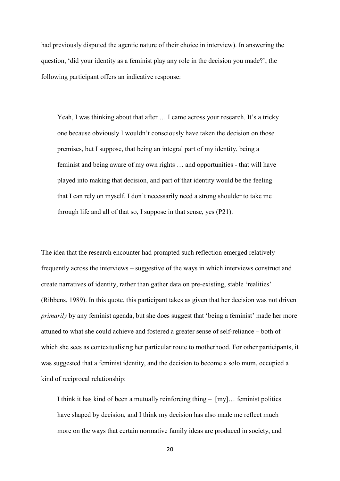had previously disputed the agentic nature of their choice in interview). In answering the question, 'did your identity as a feminist play any role in the decision you made?', the following participant offers an indicative response:

Yeah, I was thinking about that after ... I came across your research. It's a tricky one because obviously I wouldn't consciously have taken the decision on those premises, but I suppose, that being an integral part of my identity, being a feminist and being aware of my own rights … and opportunities - that will have played into making that decision, and part of that identity would be the feeling that I can rely on myself. I don't necessarily need a strong shoulder to take me through life and all of that so, I suppose in that sense, yes (P21).

The idea that the research encounter had prompted such reflection emerged relatively frequently across the interviews – suggestive of the ways in which interviews construct and create narratives of identity, rather than gather data on pre-existing, stable 'realities' (Ribbens, 1989). In this quote, this participant takes as given that her decision was not driven *primarily* by any feminist agenda, but she does suggest that 'being a feminist' made her more attuned to what she could achieve and fostered a greater sense of self-reliance – both of which she sees as contextualising her particular route to motherhood. For other participants, it was suggested that a feminist identity, and the decision to become a solo mum, occupied a kind of reciprocal relationship:

I think it has kind of been a mutually reinforcing thing  $-$  [my]... feminist politics have shaped by decision, and I think my decision has also made me reflect much more on the ways that certain normative family ideas are produced in society, and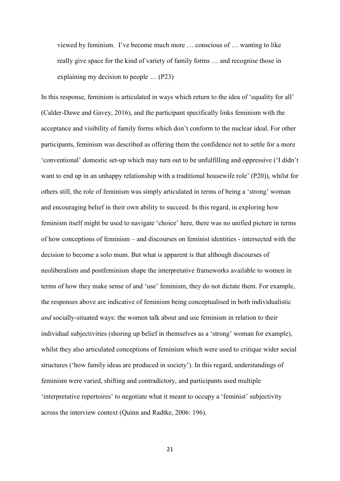viewed by feminism. I've become much more … conscious of … wanting to like really give space for the kind of variety of family forms … and recognise those in explaining my decision to people … (P23)

In this response, feminism is articulated in ways which return to the idea of 'equality for all' (Calder-Dawe and Gavey, 2016), and the participant specifically links feminism with the acceptance and visibility of family forms which don't conform to the nuclear ideal. For other participants, feminism was described as offering them the confidence not to settle for a more 'conventional' domestic set-up which may turn out to be unfulfilling and oppressive ('I didn't want to end up in an unhappy relationship with a traditional housewife role' (P20)), whilst for others still, the role of feminism was simply articulated in terms of being a 'strong' woman and encouraging belief in their own ability to succeed. In this regard, in exploring how feminism itself might be used to navigate 'choice' here, there was no unified picture in terms of how conceptions of feminism – and discourses on feminist identities - intersected with the decision to become a solo mum. But what is apparent is that although discourses of neoliberalism and postfeminism shape the interpretative frameworks available to women in terms of how they make sense of and 'use' feminism, they do not dictate them. For example, the responses above are indicative of feminism being conceptualised in both individualistic *and* socially-situated ways: the women talk about and use feminism in relation to their individual subjectivities (shoring up belief in themselves as a 'strong' woman for example), whilst they also articulated conceptions of feminism which were used to critique wider social structures ('how family ideas are produced in society'). In this regard, understandings of feminism were varied, shifting and contradictory, and participants used multiple 'interpretative repertoires' to negotiate what it meant to occupy a 'feminist' subjectivity across the interview context (Quinn and Radtke, 2006: 196).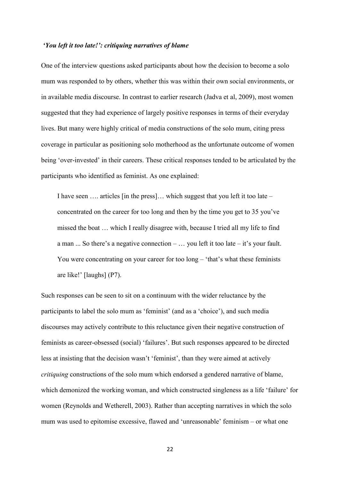# *'You left it too late!': critiquing narratives of blame*

One of the interview questions asked participants about how the decision to become a solo mum was responded to by others, whether this was within their own social environments, or in available media discourse. In contrast to earlier research (Jadva et al, 2009), most women suggested that they had experience of largely positive responses in terms of their everyday lives. But many were highly critical of media constructions of the solo mum, citing press coverage in particular as positioning solo motherhood as the unfortunate outcome of women being 'over-invested' in their careers. These critical responses tended to be articulated by the participants who identified as feminist. As one explained:

I have seen …. articles [in the press]… which suggest that you left it too late – concentrated on the career for too long and then by the time you get to 35 you've missed the boat … which I really disagree with, because I tried all my life to find a man  $\ldots$  So there's a negative connection –  $\ldots$  you left it too late – it's your fault. You were concentrating on your career for too long – 'that's what these feminists are like!' [laughs] (P7).

Such responses can be seen to sit on a continuum with the wider reluctance by the participants to label the solo mum as 'feminist' (and as a 'choice'), and such media discourses may actively contribute to this reluctance given their negative construction of feminists as career-obsessed (social) 'failures'. But such responses appeared to be directed less at insisting that the decision wasn't 'feminist', than they were aimed at actively *critiquing* constructions of the solo mum which endorsed a gendered narrative of blame, which demonized the working woman, and which constructed singleness as a life 'failure' for women (Reynolds and Wetherell, 2003). Rather than accepting narratives in which the solo mum was used to epitomise excessive, flawed and 'unreasonable' feminism – or what one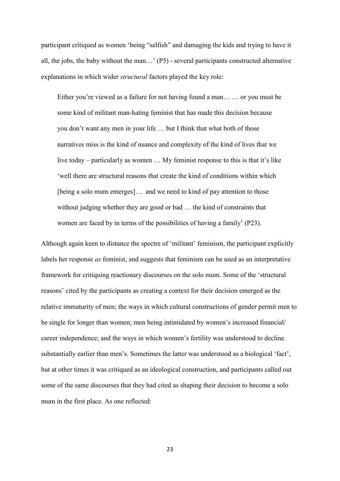participant critiqued as women 'being "selfish" and damaging the kids and trying to have it all, the jobs, the baby without the man…' (P5) - several participants constructed alternative explanations in which wider *structural* factors played the key role:

Either you're viewed as a failure for not having found a man… … or you must be some kind of militant man-hating feminist that has made this decision because you don't want any men in your life … but I think that what both of those narratives miss is the kind of nuance and complexity of the kind of lives that we live today – particularly as women … My feminist response to this is that it's like 'well there are structural reasons that create the kind of conditions within which [being a solo mum emerges]… and we need to kind of pay attention to those without judging whether they are good or bad … the kind of constraints that women are faced by in terms of the possibilities of having a family' (P23).

Although again keen to distance the spectre of 'militant' feminism, the participant explicitly labels her response *as* feminist, and suggests that feminism can be used as an interpretative framework for critiquing reactionary discourses on the solo mum. Some of the 'structural reasons' cited by the participants as creating a context for their decision emerged as the relative immaturity of men; the ways in which cultural constructions of gender permit men to be single for longer than women; men being intimidated by women's increased financial/ career independence; and the ways in which women's fertility was understood to decline substantially earlier than men's. Sometimes the latter was understood as a biological 'fact', but at other times it was critiqued as an ideological construction, and participants called out some of the same discourses that they had cited as shaping their decision to become a solo mum in the first place. As one reflected: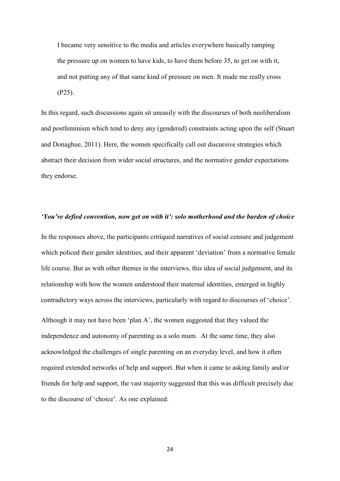I became very sensitive to the media and articles everywhere basically ramping the pressure up on women to have kids, to have them before 35, to get on with it, and not putting any of that same kind of pressure on men. It made me really cross (P25).

In this regard, such discussions again sit uneasily with the discourses of both neoliberalism and postfeminism which tend to deny any (gendered) constraints acting upon the self (Stuart and Donaghue, 2011). Here, the women specifically call out discursive strategies which abstract their decision from wider social structures, and the normative gender expectations they endorse.

#### *'You've defied convention, now get on with it': solo motherhood and the burden of choice*

In the responses above, the participants critiqued narratives of social censure and judgement which policed their gender identities, and their apparent 'deviation' from a normative female life course. But as with other themes in the interviews, this idea of social judgement, and its relationship with how the women understood their maternal identities, emerged in highly contradictory ways across the interviews, particularly with regard to discourses of 'choice'.

Although it may not have been 'plan A', the women suggested that they valued the independence and autonomy of parenting as a solo mum. At the same time, they also acknowledged the challenges of single parenting on an everyday level, and how it often required extended networks of help and support. But when it came to asking family and/or friends for help and support, the vast majority suggested that this was difficult precisely due to the discourse of 'choice'. As one explained: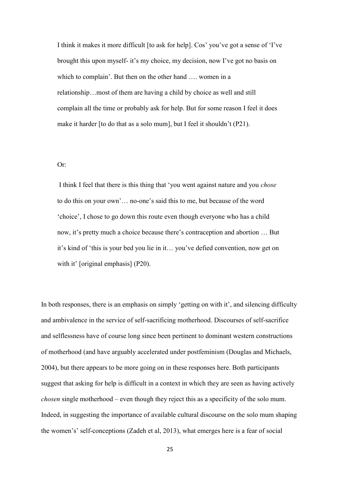I think it makes it more difficult [to ask for help]. Cos' you've got a sense of 'I've brought this upon myself- it's my choice, my decision, now I've got no basis on which to complain'. But then on the other hand …. women in a relationship…most of them are having a child by choice as well and still complain all the time or probably ask for help. But for some reason I feel it does make it harder [to do that as a solo mum], but I feel it shouldn't (P21).

#### Or:

I think I feel that there is this thing that 'you went against nature and you *chose*  to do this on your own'… no-one's said this to me, but because of the word 'choice', I chose to go down this route even though everyone who has a child now, it's pretty much a choice because there's contraception and abortion … But it's kind of 'this is your bed you lie in it… you've defied convention, now get on with it' [original emphasis] (P20).

In both responses, there is an emphasis on simply 'getting on with it', and silencing difficulty and ambivalence in the service of self-sacrificing motherhood. Discourses of self-sacrifice and selflessness have of course long since been pertinent to dominant western constructions of motherhood (and have arguably accelerated under postfeminism (Douglas and Michaels, 2004), but there appears to be more going on in these responses here. Both participants suggest that asking for help is difficult in a context in which they are seen as having actively *chosen* single motherhood – even though they reject this as a specificity of the solo mum. Indeed, in suggesting the importance of available cultural discourse on the solo mum shaping the women's' self-conceptions (Zadeh et al, 2013), what emerges here is a fear of social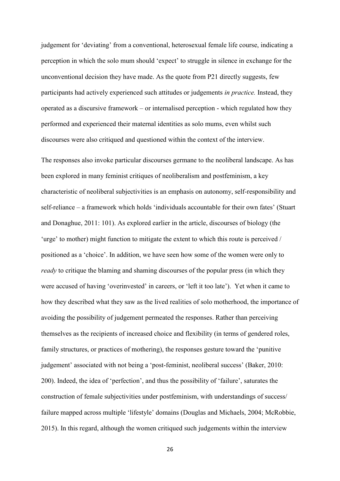judgement for 'deviating' from a conventional, heterosexual female life course, indicating a perception in which the solo mum should 'expect' to struggle in silence in exchange for the unconventional decision they have made. As the quote from P21 directly suggests, few participants had actively experienced such attitudes or judgements *in practice.* Instead, they operated as a discursive framework – or internalised perception - which regulated how they performed and experienced their maternal identities as solo mums, even whilst such discourses were also critiqued and questioned within the context of the interview.

The responses also invoke particular discourses germane to the neoliberal landscape. As has been explored in many feminist critiques of neoliberalism and postfeminism, a key characteristic of neoliberal subjectivities is an emphasis on autonomy, self-responsibility and self-reliance – a framework which holds 'individuals accountable for their own fates' (Stuart and Donaghue, 2011: 101). As explored earlier in the article, discourses of biology (the 'urge' to mother) might function to mitigate the extent to which this route is perceived / positioned as a 'choice'. In addition, we have seen how some of the women were only to *ready* to critique the blaming and shaming discourses of the popular press (in which they were accused of having 'overinvested' in careers, or 'left it too late'). Yet when it came to how they described what they saw as the lived realities of solo motherhood, the importance of avoiding the possibility of judgement permeated the responses. Rather than perceiving themselves as the recipients of increased choice and flexibility (in terms of gendered roles, family structures, or practices of mothering), the responses gesture toward the 'punitive judgement' associated with not being a 'post-feminist, neoliberal success' (Baker, 2010: 200). Indeed, the idea of 'perfection', and thus the possibility of 'failure', saturates the construction of female subjectivities under postfeminism, with understandings of success/ failure mapped across multiple 'lifestyle' domains (Douglas and Michaels, 2004; McRobbie, 2015). In this regard, although the women critiqued such judgements within the interview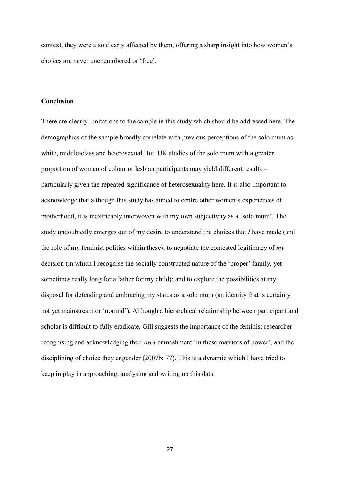context, they were also clearly affected by them, offering a sharp insight into how women's choices are never unencumbered or 'free'.

# **Conclusion**

There are clearly limitations to the sample in this study which should be addressed here. The demographics of the sample broadly correlate with previous perceptions of the solo mum as white, middle-class and heterosexual.But UK studies of the solo mum with a greater proportion of women of colour or lesbian participants may yield different results – particularly given the repeated significance of heterosexuality here. It is also important to acknowledge that although this study has aimed to centre other women's experiences of motherhood, it is inextricably interwoven with my own subjectivity as a 'solo mum'. The study undoubtedly emerges out of my desire to understand the choices that *I* have made (and the role of my feminist politics within these); to negotiate the contested legitimacy of *my* decision (in which I recognise the socially constructed nature of the 'proper' family, yet sometimes really long for a father for my child); and to explore the possibilities at my disposal for defending and embracing my status as a solo mum (an identity that is certainly not yet mainstream or 'normal'). Although a hierarchical relationship between participant and scholar is difficult to fully eradicate, Gill suggests the importance of the feminist researcher recognising and acknowledging their *own* enmeshment 'in these matrices of power', and the disciplining of choice they engender (2007b: 77). This is a dynamic which I have tried to keep in play in approaching, analysing and writing up this data.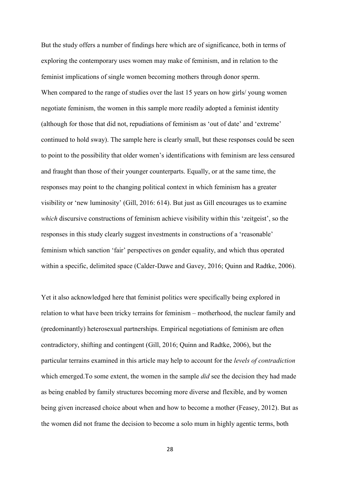But the study offers a number of findings here which are of significance, both in terms of exploring the contemporary uses women may make of feminism, and in relation to the feminist implications of single women becoming mothers through donor sperm. When compared to the range of studies over the last 15 years on how girls/ young women negotiate feminism, the women in this sample more readily adopted a feminist identity (although for those that did not, repudiations of feminism as 'out of date' and 'extreme' continued to hold sway). The sample here is clearly small, but these responses could be seen to point to the possibility that older women's identifications with feminism are less censured and fraught than those of their younger counterparts. Equally, or at the same time, the responses may point to the changing political context in which feminism has a greater visibility or 'new luminosity' (Gill, 2016: 614). But just as Gill encourages us to examine which discursive constructions of feminism achieve visibility within this 'zeitgeist', so the responses in this study clearly suggest investments in constructions of a 'reasonable' feminism which sanction 'fair' perspectives on gender equality, and which thus operated within a specific, delimited space (Calder-Dawe and Gavey, 2016; Quinn and Radtke, 2006).

Yet it also acknowledged here that feminist politics were specifically being explored in relation to what have been tricky terrains for feminism – motherhood, the nuclear family and (predominantly) heterosexual partnerships. Empirical negotiations of feminism are often contradictory, shifting and contingent (Gill, 2016; Quinn and Radtke, 2006), but the particular terrains examined in this article may help to account for the *levels of contradiction* which emerged.To some extent, the women in the sample *did* see the decision they had made as being enabled by family structures becoming more diverse and flexible, and by women being given increased choice about when and how to become a mother (Feasey, 2012). But as the women did not frame the decision to become a solo mum in highly agentic terms, both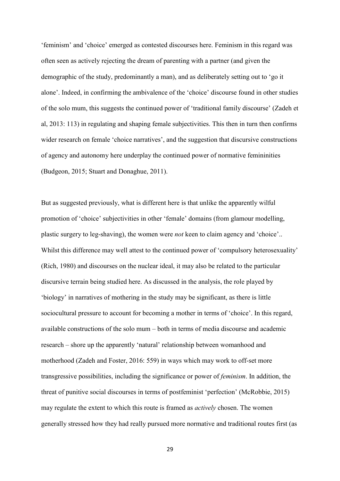'feminism' and 'choice' emerged as contested discourses here. Feminism in this regard was often seen as actively rejecting the dream of parenting with a partner (and given the demographic of the study, predominantly a man), and as deliberately setting out to 'go it alone'. Indeed, in confirming the ambivalence of the 'choice' discourse found in other studies of the solo mum, this suggests the continued power of 'traditional family discourse' (Zadeh et al, 2013: 113) in regulating and shaping female subjectivities. This then in turn then confirms wider research on female 'choice narratives', and the suggestion that discursive constructions of agency and autonomy here underplay the continued power of normative femininities (Budgeon, 2015; Stuart and Donaghue, 2011).

But as suggested previously, what is different here is that unlike the apparently wilful promotion of 'choice' subjectivities in other 'female' domains (from glamour modelling, plastic surgery to leg-shaving), the women were *not* keen to claim agency and 'choice'.. Whilst this difference may well attest to the continued power of 'compulsory heterosexuality' (Rich, 1980) and discourses on the nuclear ideal, it may also be related to the particular discursive terrain being studied here. As discussed in the analysis, the role played by 'biology' in narratives of mothering in the study may be significant, as there is little sociocultural pressure to account for becoming a mother in terms of 'choice'. In this regard, available constructions of the solo mum – both in terms of media discourse and academic research – shore up the apparently 'natural' relationship between womanhood and motherhood (Zadeh and Foster, 2016: 559) in ways which may work to off-set more transgressive possibilities, including the significance or power of *feminism*. In addition, the threat of punitive social discourses in terms of postfeminist 'perfection' (McRobbie, 2015) may regulate the extent to which this route is framed as *actively* chosen. The women generally stressed how they had really pursued more normative and traditional routes first (as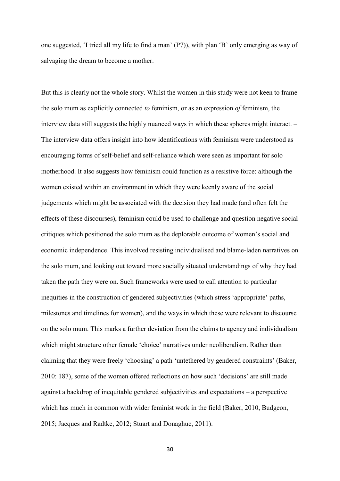one suggested, 'I tried all my life to find a man' (P7)), with plan 'B' only emerging as way of salvaging the dream to become a mother.

But this is clearly not the whole story. Whilst the women in this study were not keen to frame the solo mum as explicitly connected *to* feminism, or as an expression *of* feminism, the interview data still suggests the highly nuanced ways in which these spheres might interact. – The interview data offers insight into how identifications with feminism were understood as encouraging forms of self-belief and self-reliance which were seen as important for solo motherhood. It also suggests how feminism could function as a resistive force: although the women existed within an environment in which they were keenly aware of the social judgements which might be associated with the decision they had made (and often felt the effects of these discourses), feminism could be used to challenge and question negative social critiques which positioned the solo mum as the deplorable outcome of women's social and economic independence. This involved resisting individualised and blame-laden narratives on the solo mum, and looking out toward more socially situated understandings of why they had taken the path they were on. Such frameworks were used to call attention to particular inequities in the construction of gendered subjectivities (which stress 'appropriate' paths, milestones and timelines for women), and the ways in which these were relevant to discourse on the solo mum. This marks a further deviation from the claims to agency and individualism which might structure other female 'choice' narratives under neoliberalism. Rather than claiming that they were freely 'choosing' a path 'untethered by gendered constraints' (Baker, 2010: 187), some of the women offered reflections on how such 'decisions' are still made against a backdrop of inequitable gendered subjectivities and expectations – a perspective which has much in common with wider feminist work in the field (Baker, 2010, Budgeon, 2015; Jacques and Radtke, 2012; Stuart and Donaghue, 2011).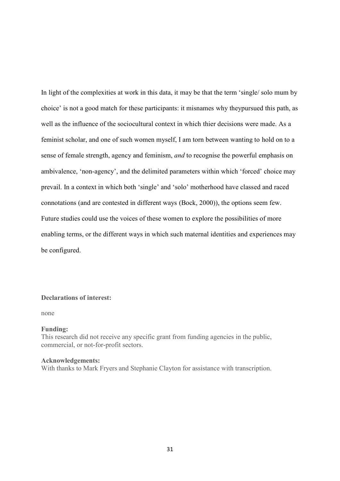In light of the complexities at work in this data, it may be that the term 'single/ solo mum by choice' is not a good match for these participants: it misnames why theypursued this path, as well as the influence of the sociocultural context in which thier decisions were made. As a feminist scholar, and one of such women myself, I am torn between wanting to hold on to a sense of female strength, agency and feminism, *and* to recognise the powerful emphasis on ambivalence, 'non-agency', and the delimited parameters within which 'forced' choice may prevail. In a context in which both 'single' and 'solo' motherhood have classed and raced connotations (and are contested in different ways (Bock, 2000)), the options seem few. Future studies could use the voices of these women to explore the possibilities of more enabling terms, or the different ways in which such maternal identities and experiences may be configured.

# **Declarations of interest:**

none

#### **Funding:**

This research did not receive any specific grant from funding agencies in the public, commercial, or not-for-profit sectors.

#### **Acknowledgements:**

With thanks to Mark Fryers and Stephanie Clayton for assistance with transcription.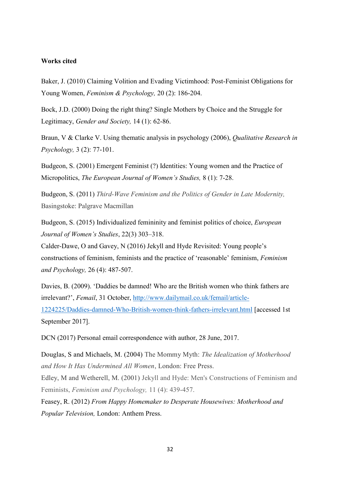# **Works cited**

Baker, J. (2010) Claiming Volition and Evading Victimhood: Post-Feminist Obligations for Young Women, *Feminism & Psychology,* 20 (2): 186-204.

Bock, J.D. (2000) Doing the right thing? Single Mothers by Choice and the Struggle for Legitimacy, *Gender and Society,* 14 (1): 62-86.

Braun, V & Clarke V. Using thematic analysis in psychology (2006), *Qualitative Research in Psychology,* 3 (2): 77-101.

Budgeon, S. (2001) Emergent Feminist (?) Identities: Young women and the Practice of Micropolitics, *The European Journal of Women's Studies,* 8 (1): 7-28.

Budgeon, S. (2011) *Third-Wave Feminism and the Politics of Gender in Late Modernity,*  Basingstoke: Palgrave Macmillan

Budgeon, S. (2015) Individualized femininity and feminist politics of choice, *European Journal of Women's Studies*, 22(3) 303–318.

Calder-Dawe, O and Gavey, N (2016) Jekyll and Hyde Revisited: Young people's constructions of feminism, feminists and the practice of 'reasonable' feminism, *Feminism and Psychology,* 26 (4): 487-507.

Davies, B. (2009). 'Daddies be damned! Who are the British women who think fathers are irrelevant?', *Femail*, 31 October, [http://www.dailymail.co.uk/femail/article-](http://www.dailymail.co.uk/femail/article-1224225/Daddies-damned-Who-British-women-think-fathers-irrelevant.html)[1224225/Daddies-damned-Who-British-women-think-fathers-irrelevant.html](http://www.dailymail.co.uk/femail/article-1224225/Daddies-damned-Who-British-women-think-fathers-irrelevant.html) [accessed 1st September 2017].

DCN (2017) Personal email correspondence with author, 28 June, 2017.

Douglas, S and Michaels, M. (2004) The Mommy Myth: *The Idealization of Motherhood and How It Has Undermined All Women*, London: Free Press.

Edley, M and Wetherell, M. (2001) Jekyll and Hyde: Men's Constructions of Feminism and Feminists, *Feminism and Psychology,* 11 (4): 439-457.

Feasey, R. (2012) *From Happy Homemaker to Desperate Housewives: Motherhood and Popular Television,* London: Anthem Press.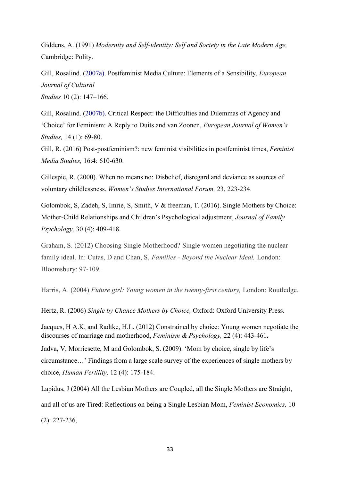Giddens, A. (1991) *Modernity and Self-identity: Self and Society in the Late Modern Age,*  Cambridge: Polity.

Gill, Rosalind. (2007a). Postfeminist Media Culture: Elements of a Sensibility, *European Journal of Cultural*

*Studies* 10 (2): 147–166.

Gill, Rosalind. (2007b). Critical Respect: the Difficulties and Dilemmas of Agency and 'Choice' for Feminism: A Reply to Duits and van Zoonen, *European Journal of Women's Studies,* 14 (1): 69-80.

Gill, R. (2016) Post-postfeminism?: new feminist visibilities in postfeminist times, *Feminist Media Studies,* 16:4: 610-630.

Gillespie, R. (2000). When no means no: Disbelief, disregard and deviance as sources of voluntary childlessness, *Women's Studies International Forum,* 23, 223-234.

Golombok, S, Zadeh, S, Imrie, S, Smith, V & freeman, T. (2016). Single Mothers by Choice: Mother-Child Relationships and Children's Psychological adjustment, *Journal of Family Psychology,* 30 (4): 409-418.

Graham, S. (2012) Choosing Single Motherhood? Single women negotiating the nuclear family ideal. In: Cutas, D and Chan, S, *Families - Beyond the Nuclear Ideal,* London: Bloomsbury: 97-109.

Harris, A. (2004) *Future girl: Young women in the twenty-first century,* London: Routledge.

Hertz, R. (2006) *Single by Chance Mothers by Choice,* Oxford: Oxford University Press.

Jacques, H A.K, and Radtke, H.L. (2012) Constrained by choice: Young women negotiate the discourses of marriage and motherhood, *Feminism & Psychology,* 22 (4): 443-461**.** Jadva, V, Morriesette, M and Golombok, S. (2009). 'Mom by choice, single by life's circumstance…' Findings from a large scale survey of the experiences of single mothers by choice, *Human Fertility,* 12 (4): 175-184.

Lapidus, J (2004) All the Lesbian Mothers are Coupled, all the Single Mothers are Straight, and all of us are Tired: Reflections on being a Single Lesbian Mom, *Feminist Economics,* 10 (2): 227-236,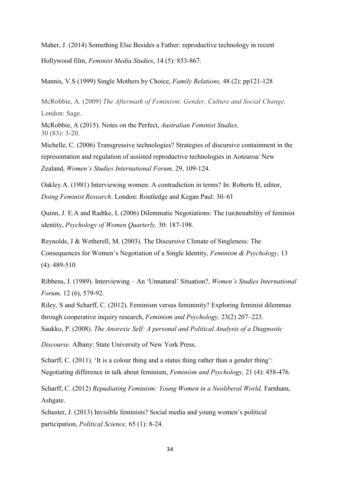Maher, J. (2014) Something Else Besides a Father: reproductive technology in recent Hollywood film, *Feminist Media Studies*, 14 (5): 853-867.

Mannis, V.S (1999) Single Mothers by Choice, *Family Relations,* 48 (2): pp121-128

McRobbie, A. (2009) *The Aftermath of Feminism: Gender, Culture and Social Change,*  London: Sage.

McRobbie, A (2015). Notes on the Perfect, *Australian Feminist Studies,* 30 (83): 3-20.

Michelle, C. (2006) Transgressive technologies? Strategies of discursive containment in the representation and regulation of assisted reproductive technologies in Aotearoa/ New Zealand, *Women's Studies International Forum,* 29, 109-124.

Oakley A. (1981) Interviewing women: A contradiction in terms? In: Roberts H, editor, *Doing Feminist Research*. London: Routledge and Kegan Paul: 30–61

Quinn, J. E.A and Radtke, L (2006) Dilemmatic Negotiations: The (un)tenability of feminist identity, *Psychology of Women Quarterly,* 30: 187-198.

Reynolds, J & Wetherell, M. (2003). The Discursive Climate of Singleness: The Consequences for Women's Negotiation of a Single Identity, *Feminism & Psychology,* 13 (4): 489-510

Ribbens, J. (1989). Interviewing – An 'Unnatural' Situation?, *Women's Studies International Forum,* 12 (6), 579-92.

Riley, S and Scharff, C. (2012). Feminism versus femininity? Exploring feminist dilemmas through cooperative inquiry research, *Feminism and Psychology,* 23(2) 207–223.

Saukko, P. (2008). *The Anorexic Self: A personal and Political Analysis of a Diagnostic* 

*Discourse.* Albany: State University of New York Press.

Scharff, C. (2011). 'It is a colour thing and a status thing rather than a gender thing': Negotiating difference in talk about feminism, *Feminism and Psychology,* 21 (4): 458-476.

Scharff, C. (2012) *Repudiating Feminism: Young Women in a Neoliberal World,* Farnham, Ashgate.

Schuster, J. (2013) Invisible feminists? Social media and young women's political participation, *Political Science,* 65 (1): 8-24.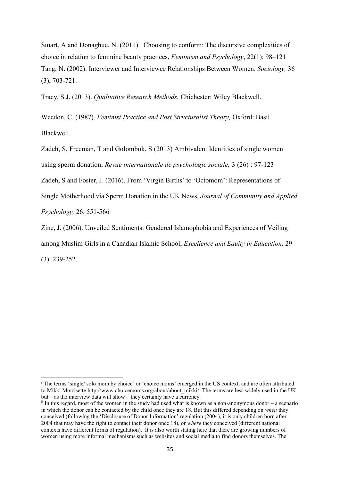Stuart, A and Donaghue, N. (2011). Choosing to conform: The discursive complexities of choice in relation to feminine beauty practices, *Feminism and Psychology*, 22(1): 98–121 Tang, N. (2002). Interviewer and Interviewee Relationships Between Women. *Sociology,* 36 (3), 703-721.

Tracy, S.J. (2013). *Qualitative Research Methods.* Chichester: Wiley Blackwell.

Weedon, C. (1987). *Feminist Practice and Post Structuralist Theory,* Oxford: Basil Blackwell.

Zadeh, S, Freeman, T and Golombok, S (2013) Ambivalent Identities of single women using sperm donation, *Revue internationale de psychologie sociale,* 3 (26) : 97-123 Zadeh, S and Foster, J. (2016). From 'Virgin Births' to 'Octomom': Representations of

Single Motherhood via Sperm Donation in the UK News, *Journal of Community and Applied Psychology,* 26: 551-566

Zine, J. (2006). Unveiled Sentiments: Gendered Islamophobia and Experiences of Veiling among Muslim Girls in a Canadian Islamic School, *Excellence and Equity in Education,* 29 (3): 239-252.

**.** 

<sup>i</sup> The terms 'single/ solo mom by choice' or 'choice moms' emerged in the US context, and are often attributed to Mikki Morrisette [http://www.choicemoms.org/about/about\\_mikki/.](http://www.choicemoms.org/about/about_mikki/) The terms are less widely used in the UK but – as the interview data will show – they certainly have a currency.

ii In this regard, most of the women in the study had used what is known as a non-anonymous donor – a scenario in which the donor can be contacted by the child once they are 18. But this differed depending on *when* they conceived (following the 'Disclosure of Donor Information' regulation (2004), it is only children born after 2004 that may have the right to contact their donor once 18), or *where* they conceived (different national contexts have different forms of regulation). It is also worth stating here that there are growing numbers of women using more informal mechanisms such as websites and social media to find donors themselves. The